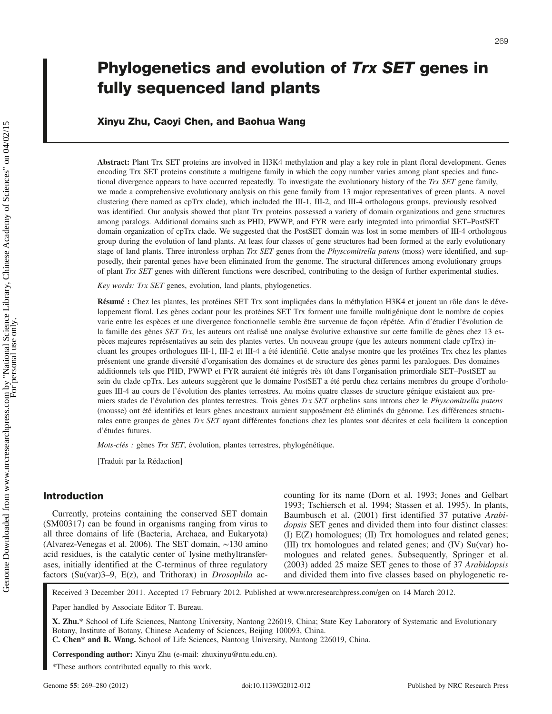# Phylogenetics and evolution of Trx SET genes in fully sequenced land plants

# Xinyu Zhu, Caoyi Chen, and Baohua Wang

Abstract: Plant Trx SET proteins are involved in H3K4 methylation and play a key role in plant floral development. Genes encoding Trx SET proteins constitute a multigene family in which the copy number varies among plant species and functional divergence appears to have occurred repeatedly. To investigate the evolutionary history of the Trx SET gene family, we made a comprehensive evolutionary analysis on this gene family from 13 major representatives of green plants. A novel clustering (here named as cpTrx clade), which included the III-1, III-2, and III-4 orthologous groups, previously resolved was identified. Our analysis showed that plant Trx proteins possessed a variety of domain organizations and gene structures among paralogs. Additional domains such as PHD, PWWP, and FYR were early integrated into primordial SET–PostSET domain organization of cpTrx clade. We suggested that the PostSET domain was lost in some members of III-4 orthologous group during the evolution of land plants. At least four classes of gene structures had been formed at the early evolutionary stage of land plants. Three intronless orphan Trx SET genes from the Physcomitrella patens (moss) were identified, and supposedly, their parental genes have been eliminated from the genome. The structural differences among evolutionary groups of plant Trx SET genes with different functions were described, contributing to the design of further experimental studies.

Key words: Trx SET genes, evolution, land plants, phylogenetics.

Résumé : Chez les plantes, les protéines SET Trx sont impliquées dans la méthylation H3K4 et jouent un rôle dans le développement floral. Les gènes codant pour les protéines SET Trx forment une famille multigénique dont le nombre de copies varie entre les espèces et une divergence fonctionnelle semble être survenue de façon répétée. Afin d'étudier l'évolution de la famille des gènes SET Trx, les auteurs ont réalisé une analyse évolutive exhaustive sur cette famille de gènes chez 13 espèces majeures représentatives au sein des plantes vertes. Un nouveau groupe (que les auteurs nomment clade cpTrx) incluant les groupes orthologues III-1, III-2 et III-4 a été identifié. Cette analyse montre que les protéines Trx chez les plantes présentent une grande diversité d'organisation des domaines et de structure des gènes parmi les paralogues. Des domaines additionnels tels que PHD, PWWP et FYR auraient été intégrés très tôt dans l'organisation primordiale SET–PostSET au sein du clade cpTrx. Les auteurs suggèrent que le domaine PostSET a été perdu chez certains membres du groupe d'orthologues III-4 au cours de l'évolution des plantes terrestres. Au moins quatre classes de structure génique existaient aux premiers stades de l'évolution des plantes terrestres. Trois gènes Trx SET orphelins sans introns chez le Physcomitrella patens (mousse) ont été identifiés et leurs gènes ancestraux auraient supposément été éliminés du génome. Les différences structurales entre groupes de gènes Trx SET ayant différentes fonctions chez les plantes sont décrites et cela facilitera la conception d'études futures.

Mots-clés : gènes Trx SET, évolution, plantes terrestres, phylogénétique.

[Traduit par la Rédaction]

### Introduction

Currently, proteins containing the conserved SET domain (SM00317) can be found in organisms ranging from virus to all three domains of life (Bacteria, Archaea, and Eukaryota) (Alvarez-Venegas et al. 2006). The SET domain, ∼130 amino acid residues, is the catalytic center of lysine methyltransferases, initially identified at the C-terminus of three regulatory factors (Su(var)3-9, E(z), and Trithorax) in Drosophila accounting for its name (Dorn et al. 1993; Jones and Gelbart 1993; Tschiersch et al. 1994; Stassen et al. 1995). In plants, Baumbusch et al. (2001) first identified 37 putative Arabidopsis SET genes and divided them into four distinct classes: (I) E(Z) homologues; (II) Trx homologues and related genes; (III) trx homologues and related genes; and (IV) Su(var) homologues and related genes. Subsequently, Springer et al. (2003) added 25 maize SET genes to those of 37 Arabidopsis and divided them into five classes based on phylogenetic re-

Received 3 December 2011. Accepted 17 February 2012. Published at www.nrcresearchpress.com/gen on 14 March 2012.

Paper handled by Associate Editor T. Bureau.

X. Zhu.\* School of Life Sciences, Nantong University, Nantong 226019, China; State Key Laboratory of Systematic and Evolutionary Botany, Institute of Botany, Chinese Academy of Sciences, Beijing 100093, China. C. Chen\* and B. Wang. School of Life Sciences, Nantong University, Nantong 226019, China.

Corresponding author: Xinyu Zhu (e-mail: zhuxinyu@ntu.edu.cn).

\*These authors contributed equally to this work.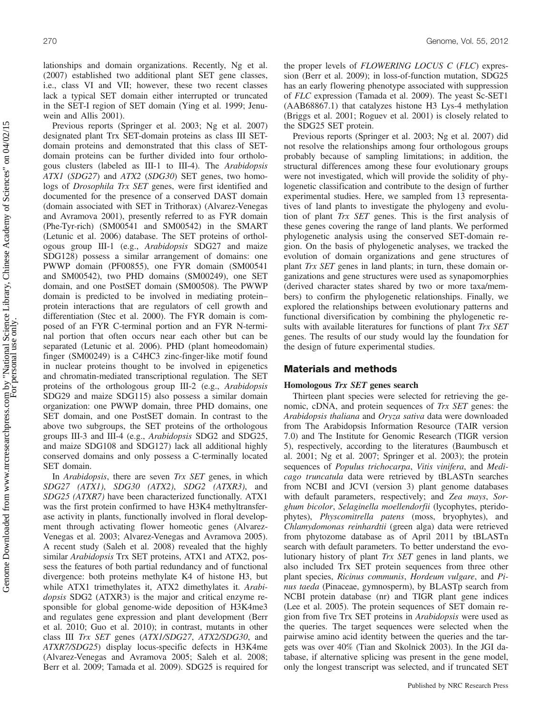lationships and domain organizations. Recently, Ng et al. (2007) established two additional plant SET gene classes, i.e., class VI and VII; however, these two recent classes lack a typical SET domain either interrupted or truncated in the SET-I region of SET domain (Ying et al. 1999; Jenuwein and Allis 2001).

Previous reports (Springer et al. 2003; Ng et al. 2007) designated plant Trx SET-domain proteins as class III SETdomain proteins and demonstrated that this class of SETdomain proteins can be further divided into four orthologous clusters (labeled as III-1 to III-4). The Arabidopsis ATX1 (SDG27) and ATX2 (SDG30) SET genes, two homologs of *Drosophila Trx SET* genes, were first identified and documented for the presence of a conserved DAST domain (domain associated with SET in Trithorax) (Alvarez-Venegas and Avramova 2001), presently referred to as FYR domain (Phe-Tyr-rich) (SM00541 and SM00542) in the SMART (Letunic et al. 2006) database. The SET proteins of orthologous group III-1 (e.g., Arabidopsis SDG27 and maize SDG128) possess a similar arrangement of domains: one PWWP domain (PF00855), one FYR domain (SM00541 and SM00542), two PHD domains (SM00249), one SET domain, and one PostSET domain (SM00508). The PWWP domain is predicted to be involved in mediating protein– protein interactions that are regulators of cell growth and differentiation (Stec et al. 2000). The FYR domain is composed of an FYR C-terminal portion and an FYR N-terminal portion that often occurs near each other but can be separated (Letunic et al. 2006). PHD (plant homeodomain) finger (SM00249) is a C4HC3 zinc-finger-like motif found in nuclear proteins thought to be involved in epigenetics and chromatin-mediated transcriptional regulation. The SET proteins of the orthologous group III-2 (e.g., Arabidopsis SDG29 and maize SDG115) also possess a similar domain organization: one PWWP domain, three PHD domains, one SET domain, and one PostSET domain. In contrast to the above two subgroups, the SET proteins of the orthologous groups III-3 and III-4 (e.g., Arabidopsis SDG2 and SDG25, and maize SDG108 and SDG127) lack all additional highly conserved domains and only possess a C-terminally located SET domain.

In *Arabidopsis*, there are seven Trx SET genes, in which SDG27 (ATX1), SDG30 (ATX2), SDG2 (ATXR3), and SDG25 (ATXR7) have been characterized functionally. ATX1 was the first protein confirmed to have H3K4 methyltransferase activity in plants, functionally involved in floral development through activating flower homeotic genes (Alvarez-Venegas et al. 2003; Alvarez-Venegas and Avramova 2005). A recent study (Saleh et al. 2008) revealed that the highly similar Arabidopsis Trx SET proteins, ATX1 and ATX2, possess the features of both partial redundancy and of functional divergence: both proteins methylate K4 of histone H3, but while ATX1 trimethylates it, ATX2 dimethylates it. Arabidopsis SDG2 (ATXR3) is the major and critical enzyme responsible for global genome-wide deposition of H3K4me3 and regulates gene expression and plant development (Berr et al. 2010; Guo et al. 2010); in contrast, mutants in other class III Trx SET genes (ATX1/SDG27, ATX2/SDG30, and ATXR7/SDG25) display locus-specific defects in H3K4me (Alvarez-Venegas and Avramova 2005; Saleh et al. 2008; Berr et al. 2009; Tamada et al. 2009). SDG25 is required for the proper levels of FLOWERING LOCUS C (FLC) expression (Berr et al. 2009); in loss-of-function mutation, SDG25 has an early flowering phenotype associated with suppression of FLC expression (Tamada et al. 2009). The yeast Sc-SET1 (AAB68867.1) that catalyzes histone H3 Lys-4 methylation (Briggs et al. 2001; Roguev et al. 2001) is closely related to the SDG25 SET protein.

Previous reports (Springer et al. 2003; Ng et al. 2007) did not resolve the relationships among four orthologous groups probably because of sampling limitations; in addition, the structural differences among these four evolutionary groups were not investigated, which will provide the solidity of phylogenetic classification and contribute to the design of further experimental studies. Here, we sampled from 13 representatives of land plants to investigate the phylogeny and evolution of plant Trx SET genes. This is the first analysis of these genes covering the range of land plants. We performed phylogenetic analysis using the conserved SET-domain region. On the basis of phylogenetic analyses, we tracked the evolution of domain organizations and gene structures of plant Trx SET genes in land plants; in turn, these domain organizations and gene structures were used as synapomorphies (derived character states shared by two or more taxa/members) to confirm the phylogenetic relationships. Finally, we explored the relationships between evolutionary patterns and functional diversification by combining the phylogenetic results with available literatures for functions of plant Trx SET genes. The results of our study would lay the foundation for the design of future experimental studies.

#### Materials and methods

#### Homologous Trx SET genes search

Thirteen plant species were selected for retrieving the genomic, cDNA, and protein sequences of Trx SET genes: the Arabidopsis thaliana and Oryza sativa data were downloaded from The Arabidopsis Information Resource (TAIR version 7.0) and The Institute for Genomic Research (TIGR version 5), respectively, according to the literatures (Baumbusch et al. 2001; Ng et al. 2007; Springer et al. 2003); the protein sequences of Populus trichocarpa, Vitis vinifera, and Medicago truncatula data were retrieved by tBLASTn searches from NCBI and JCVI (version 3) plant genome databases with default parameters, respectively; and Zea mays, Sorghum bicolor, Selaginella moellendorfii (lycophytes, pteridophytes), Physcomitrella patens (moss, bryophytes), and Chlamydomonas reinhardtii (green alga) data were retrieved from phytozome database as of April 2011 by tBLASTn search with default parameters. To better understand the evolutionary history of plant Trx SET genes in land plants, we also included Trx SET protein sequences from three other plant species, Ricinus communis, Hordeum vulgare, and Pinus taeda (Pinaceae, gymnosperm), by BLASTp search from NCBI protein database (nr) and TIGR plant gene indices (Lee et al. 2005). The protein sequences of SET domain region from five Trx SET proteins in Arabidopsis were used as the queries. The target sequences were selected when the pairwise amino acid identity between the queries and the targets was over 40% (Tian and Skolnick 2003). In the JGI database, if alternative splicing was present in the gene model, only the longest transcript was selected, and if truncated SET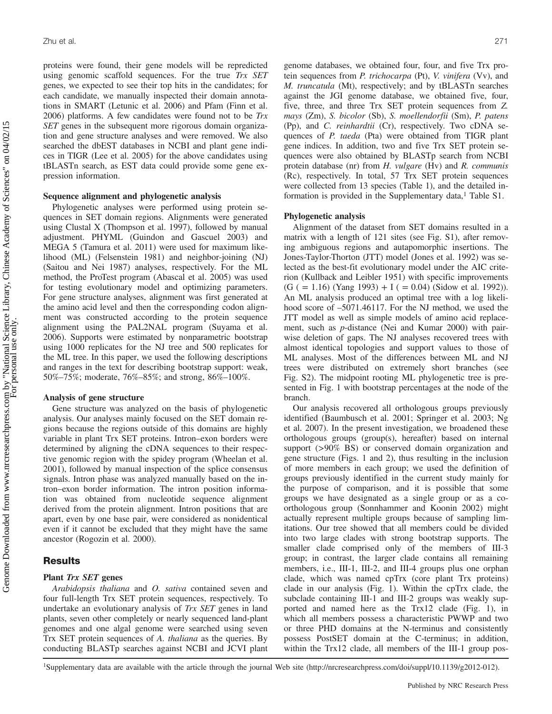proteins were found, their gene models will be repredicted using genomic scaffold sequences. For the true Trx SET genes, we expected to see their top hits in the candidates; for each candidate, we manually inspected their domain annotations in SMART (Letunic et al. 2006) and Pfam (Finn et al.  $2006$ ) platforms. A few candidates were found not to be  $Trx$ SET genes in the subsequent more rigorous domain organization and gene structure analyses and were removed. We also searched the dbEST databases in NCBI and plant gene indices in TIGR (Lee et al. 2005) for the above candidates using tBLASTn search, as EST data could provide some gene expression information.

#### Sequence alignment and phylogenetic analysis

Phylogenetic analyses were performed using protein sequences in SET domain regions. Alignments were generated using Clustal X (Thompson et al. 1997), followed by manual adjustment. PHYML (Guindon and Gascuel 2003) and MEGA 5 (Tamura et al. 2011) were used for maximum likelihood (ML) (Felsenstein 1981) and neighbor-joining (NJ) (Saitou and Nei 1987) analyses, respectively. For the ML method, the ProTest program (Abascal et al. 2005) was used for testing evolutionary model and optimizing parameters. For gene structure analyses, alignment was first generated at the amino acid level and then the corresponding codon alignment was constructed according to the protein sequence alignment using the PAL2NAL program (Suyama et al. 2006). Supports were estimated by nonparametric bootstrap using 1000 replicates for the NJ tree and 500 replicates for the ML tree. In this paper, we used the following descriptions and ranges in the text for describing bootstrap support: weak, 50%–75%; moderate, 76%–85%; and strong, 86%–100%.

#### Analysis of gene structure

Gene structure was analyzed on the basis of phylogenetic analysis. Our analyses mainly focused on the SET domain regions because the regions outside of this domains are highly variable in plant Trx SET proteins. Intron–exon borders were determined by aligning the cDNA sequences to their respective genomic region with the spidey program (Wheelan et al. 2001), followed by manual inspection of the splice consensus signals. Intron phase was analyzed manually based on the intron–exon border information. The intron position information was obtained from nucleotide sequence alignment derived from the protein alignment. Intron positions that are apart, even by one base pair, were considered as nonidentical even if it cannot be excluded that they might have the same ancestor (Rogozin et al. 2000).

## **Results**

#### Plant Trx SET genes

Arabidopsis thaliana and O. sativa contained seven and four full-length Trx SET protein sequences, respectively. To undertake an evolutionary analysis of Trx SET genes in land plants, seven other completely or nearly sequenced land-plant genomes and one algal genome were searched using seven Trx SET protein sequences of A. thaliana as the queries. By conducting BLASTp searches against NCBI and JCVI plant genome databases, we obtained four, four, and five Trx protein sequences from P. trichocarpa (Pt), V. vinifera (Vv), and M. truncatula (Mt), respectively; and by tBLASTn searches against the JGI genome database, we obtained five, four, five, three, and three Trx SET protein sequences from Z. mays (Zm), S. bicolor (Sb), S. moellendorfii (Sm), P. patens (Pp), and C. reinhardtii (Cr), respectively. Two cDNA sequences of P. taeda (Pta) were obtained from TIGR plant gene indices. In addition, two and five Trx SET protein sequences were also obtained by BLASTp search from NCBI protein database (nr) from H. vulgare (Hv) and R. communis (Rc), respectively. In total, 57 Trx SET protein sequences were collected from 13 species (Table 1), and the detailed information is provided in the Supplementary data, $<sup>1</sup>$  Table S1.</sup>

#### Phylogenetic analysis

Alignment of the dataset from SET domains resulted in a matrix with a length of 121 sites (see Fig. S1), after removing ambiguous regions and autapomorphic insertions. The Jones-Taylor-Thorton (JTT) model (Jones et al. 1992) was selected as the best-fit evolutionary model under the AIC criterion (Kullback and Leibler 1951) with specific improvements  $(G$  ( = 1.16) (Yang 1993) + I ( = 0.04) (Sidow et al. 1992)). An ML analysis produced an optimal tree with a log likelihood score of –5071.46117. For the NJ method, we used the JTT model as well as simple models of amino acid replacement, such as p-distance (Nei and Kumar 2000) with pairwise deletion of gaps. The NJ analyses recovered trees with almost identical topologies and support values to those of ML analyses. Most of the differences between ML and NJ trees were distributed on extremely short branches (see Fig. S2). The midpoint rooting ML phylogenetic tree is presented in Fig. 1 with bootstrap percentages at the node of the branch.

Our analysis recovered all orthologous groups previously identified (Baumbusch et al. 2001; Springer et al. 2003; Ng et al. 2007). In the present investigation, we broadened these orthologous groups (group(s), hereafter) based on internal support (>90% BS) or conserved domain organization and gene structure (Figs. 1 and 2), thus resulting in the inclusion of more members in each group; we used the definition of groups previously identified in the current study mainly for the purpose of comparison, and it is possible that some groups we have designated as a single group or as a coorthologous group (Sonnhammer and Koonin 2002) might actually represent multiple groups because of sampling limitations. Our tree showed that all members could be divided into two large clades with strong bootstrap supports. The smaller clade comprised only of the members of III-3 group; in contrast, the larger clade contains all remaining members, i.e., III-1, III-2, and III-4 groups plus one orphan clade, which was named cpTrx (core plant Trx proteins) clade in our analysis (Fig. 1). Within the cpTrx clade, the subclade containing III-1 and III-2 groups was weakly supported and named here as the Trx12 clade (Fig. 1), in which all members possess a characteristic PWWP and two or three PHD domains at the N-terminus and consistently possess PostSET domain at the C-terminus; in addition, within the Trx12 clade, all members of the III-1 group pos-

1Supplementary data are available with the article through the journal Web site (http://nrcresearchpress.com/doi/suppl/10.1139/g2012-012).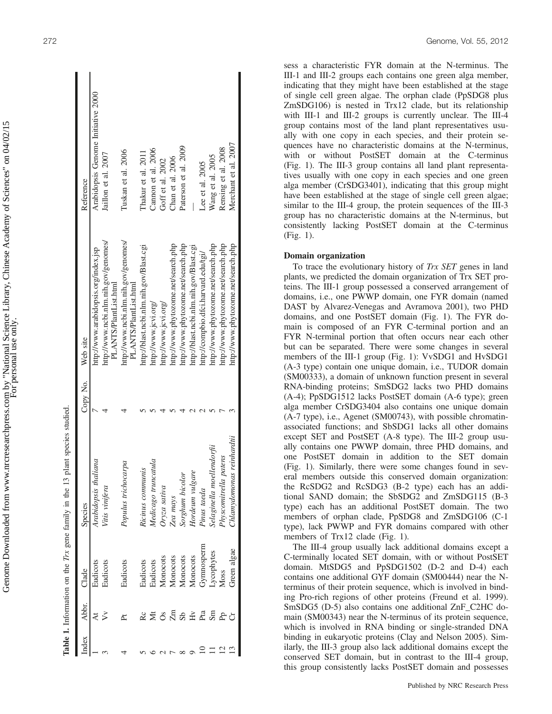|                          | Reference<br>Web site<br>Copy No. | Arabidopsis Genome Initiative 2000<br>http://www.arabidopsis.org/index.jsp | Jaillon et al. 2007<br>http://www.ncbi.nlm.nih.gov/genomes/<br>PLANTS/PlantList.html | Tuskan et al. 2006<br>http://www.ncbi.nlm.nih.gov/genomes/<br>PLANTS/PlantList.html | Thakur et al. 2011<br>http://blast.ncbi.nlm.nih.gov/Blast.cgi | Cannon et al. 2006<br>http://www.jcvi.org/ | Goff et al. 2002<br>http://www.jcvi.org/ | Chan et al. 2006<br>http://www.phytozome.net/search.php | Paterson et al. 2009<br>http://www.phytozome.net/search.php | http://blast.ncbi.nlm.nih.gov/Blast.cgi | Lee et al. 2005<br>http://compbio.dfci.harvard.edu/tgi/ | Wang et al. 2005<br>http://www.phytozome.net/search.php | Rensing et al. 2008<br>http://www.phytozome.net/search.php | Merchant et al. 2007<br>http://www.phytozome.net/search.php |
|--------------------------|-----------------------------------|----------------------------------------------------------------------------|--------------------------------------------------------------------------------------|-------------------------------------------------------------------------------------|---------------------------------------------------------------|--------------------------------------------|------------------------------------------|---------------------------------------------------------|-------------------------------------------------------------|-----------------------------------------|---------------------------------------------------------|---------------------------------------------------------|------------------------------------------------------------|-------------------------------------------------------------|
| $\frac{1}{2}$            | Species                           | Arabidopsis thaliana                                                       | Vitis vinifera                                                                       | Populus trichocarpa                                                                 | Ricinus communis                                              | Medicago truncatula                        | Oryza sativa                             | Zea mays                                                | Sorghum bicolor                                             | Hordeum vulgare                         | Pinus taeda                                             | Selaginella moellendorfii                               | Physcomitrella patens                                      | Chlamydomonas reinhardtii                                   |
| $\overline{\phantom{a}}$ | Clade                             | Eudicots                                                                   | Eudicots                                                                             | Eudicots                                                                            | Eudicots                                                      | Eudicots                                   | Monocots                                 | Monocots                                                | Monocots                                                    | Monocots                                | Gymnosperm                                              | Lycophytes                                              | Moss                                                       | Green algae                                                 |
|                          | Abbr.                             |                                                                            |                                                                                      |                                                                                     |                                                               |                                            |                                          | $\overline{z}$                                          |                                                             | 丘                                       |                                                         |                                                         |                                                            |                                                             |
|                          | ndex                              |                                                                            |                                                                                      |                                                                                     |                                                               |                                            |                                          |                                                         |                                                             |                                         |                                                         |                                                         |                                                            |                                                             |

Table 1. Information on the Trx gene family in the 13 plant species studied. Table 1. Information on the Trx gene family in the 13 plant species studied

Genome Downloaded from www.nrcresearchpress.com by "National Science Library, Chinese Academy of Sciences" on 04/02/15 Genome Downloaded from www.nrcresearchpress.com by "National Science Library, Chinese Academy of Sciences" on 04/02/15 For personal use only. sess a characteristic FYR domain at the N-terminus. The III-1 and III-2 groups each contains one green alga member, indicating that they might have been established at the stage of single cell green algae. The orphan clade (PpSDG8 plus ZmSDG106) is nested in Trx12 clade, but its relationship with III-1 and III-2 groups is currently unclear. The III-4 group contains most of the land plant representatives usually with one copy in each species, and their protein sequences have no characteristic domains at the N-terminus, with or without PostSET domain at the C-terminus (Fig. 1). The III-3 group contains all land plant representatives usually with one copy in each species and one green alga member (CrSDG3401), indicating that this group might have been established at the stage of single cell green algae; similar to the III-4 group, the protein sequences of the III-3 group has no characteristic domains at the N-terminus, but consistently lacking PostSET domain at the C-terminus (Fig. 1).

#### Domain organization

To trace the evolutionary history of Trx SET genes in land plants, we predicted the domain organization of Trx SET proteins. The III-1 group possessed a conserved arrangement of domains, i.e., one PWWP domain, one FYR domain (named DAST by Alvarez-Venegas and Avramova 2001), two PHD domains, and one PostSET domain (Fig. 1). The FYR domain is composed of an FYR C-terminal portion and an FYR N-terminal portion that often occurs near each other but can be separated. There were some changes in several members of the III-1 group (Fig. 1): VvSDG1 and HvSDG1 (A-3 type) contain one unique domain, i.e., TUDOR domain (SM00333), a domain of unknown function present in several RNA-binding proteins; SmSDG2 lacks two PHD domains (A-4); PpSDG1512 lacks PostSET domain (A-6 type); green alga member CrSDG3404 also contains one unique domain (A-7 type), i.e., Agenet (SM00743), with possible chromatinassociated functions; and SbSDG1 lacks all other domains except SET and PostSET (A-8 type). The III-2 group usually contains one PWWP domain, three PHD domains, and one PostSET domain in addition to the SET domain (Fig. 1). Similarly, there were some changes found in several members outside this conserved domain organization: the RcSDG2 and RcSDG3 (B-2 type) each has an additional SAND domain; the SbSDG2 and ZmSDG115 (B-3 type) each has an additional PostSET domain. The two members of orphan clade, PpSDG8 and ZmSDG106 (C-1 type), lack PWWP and FYR domains compared with other members of Trx12 clade (Fig. 1).

The III-4 group usually lack additional domains except a C-terminally located SET domain, with or without PostSET domain. MtSDG5 and PpSDG1502 (D-2 and D-4) each contains one additional GYF domain (SM00444) near the Nterminus of their protein sequence, which is involved in binding Pro-rich regions of other proteins (Freund et al. 1999). SmSDG5 (D-5) also contains one additional ZnF\_C2HC domain (SM00343) near the N-terminus of its protein sequence, which is involved in RNA binding or single-stranded DNA binding in eukaryotic proteins (Clay and Nelson 2005). Similarly, the III-3 group also lack additional domains except the conserved SET domain, but in contrast to the III-4 group, this group consistently lacks PostSET domain and possesses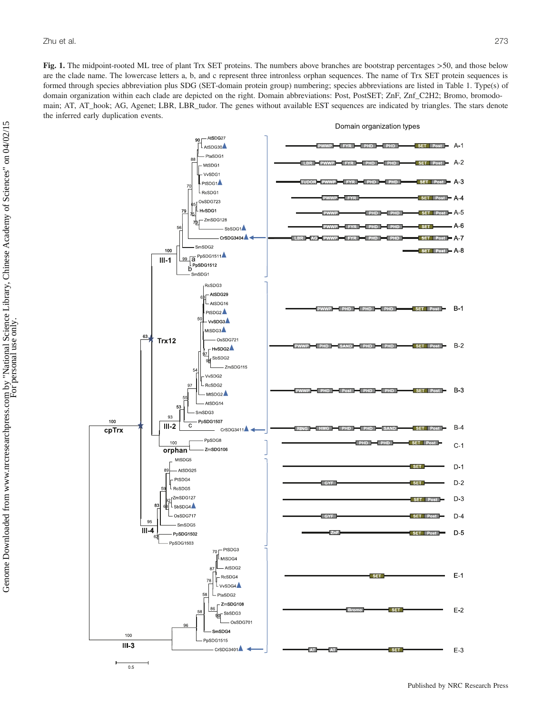Fig. 1. The midpoint-rooted ML tree of plant Trx SET proteins. The numbers above branches are bootstrap percentages >50, and those below are the clade name. The lowercase letters a, b, and c represent three intronless orphan sequences. The name of Trx SET protein sequences is formed through species abbreviation plus SDG (SET-domain protein group) numbering; species abbreviations are listed in Table 1. Type(s) of domain organization within each clade are depicted on the right. Domain abbreviations: Post, PostSET; ZnF, Znf\_C2H2; Bromo, bromodomain; AT, AT\_hook; AG, Agenet; LBR, LBR\_tudor. The genes without available EST sequences are indicated by triangles. The stars denote the inferred early duplication events.



 $0.5$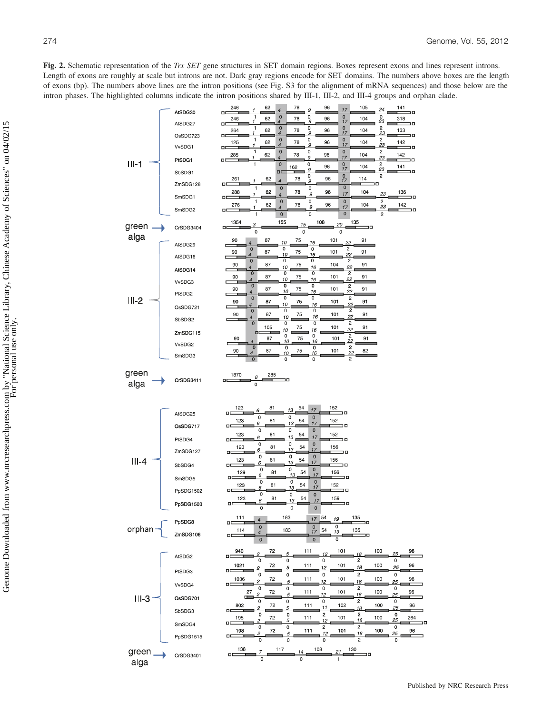Fig. 2. Schematic representation of the Trx SET gene structures in SET domain regions. Boxes represent exons and lines represent introns. Length of exons are roughly at scale but introns are not. Dark gray regions encode for SET domains. The numbers above boxes are the length of exons (bp). The numbers above lines are the intron positions (see Fig. S3 for the alignment of mRNA sequences) and those below are the intron phases. The highlighted columns indicate the intron positions shared by III-1, III-2, and III-4 groups and orphan clade.

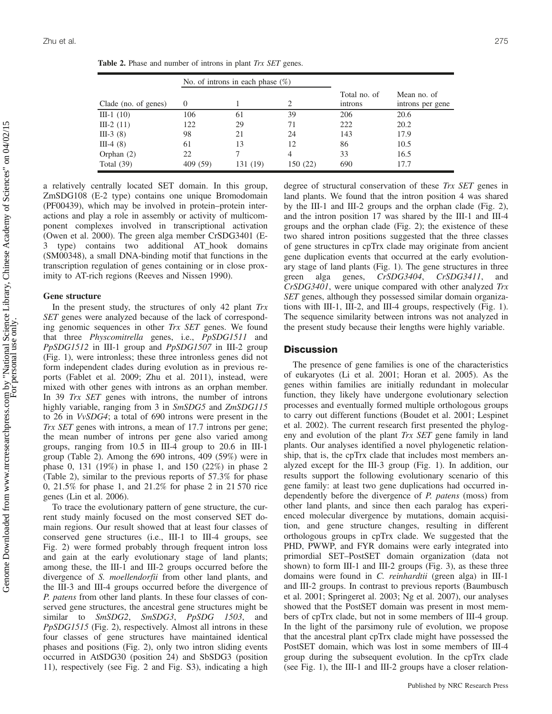|                      |          | No. of introns in each phase $(\%)$ |          |                         |                                 |
|----------------------|----------|-------------------------------------|----------|-------------------------|---------------------------------|
| Clade (no. of genes) | $\theta$ |                                     | 2        | Total no. of<br>introns | Mean no. of<br>introns per gene |
| $III-1(10)$          | 106      | 61                                  | 39       | 206                     | 20.6                            |
| $III-2(11)$          | 122      | 29                                  | 71       | 222                     | 20.2                            |
| III-3 $(8)$          | 98       | 21                                  | 24       | 143                     | 17.9                            |
| $III-4(8)$           | 61       | 13                                  | 12       | 86                      | 10.5                            |
| Orphan $(2)$         | 22       |                                     | 4        | 33                      | 16.5                            |
| Total $(39)$         | 409 (59) | 131 (19)                            | 150 (22) | 690                     | 17.7                            |

Table 2. Phase and number of introns in plant Trx SET genes.

a relatively centrally located SET domain. In this group, ZmSDG108 (E-2 type) contains one unique Bromodomain (PF00439), which may be involved in protein–protein interactions and play a role in assembly or activity of multicomponent complexes involved in transcriptional activation (Owen et al. 2000). The green alga member CrSDG3401 (E-3 type) contains two additional AT\_hook domains (SM00348), a small DNA-binding motif that functions in the transcription regulation of genes containing or in close proximity to AT-rich regions (Reeves and Nissen 1990).

#### Gene structure

In the present study, the structures of only 42 plant  $Tx$ SET genes were analyzed because of the lack of corresponding genomic sequences in other Trx SET genes. We found that three Physcomitrella genes, i.e., PpSDG1511 and PpSDG1512 in III-1 group and PpSDG1507 in III-2 group (Fig. 1), were intronless; these three intronless genes did not form independent clades during evolution as in previous reports (Fablet et al. 2009; Zhu et al. 2011), instead, were mixed with other genes with introns as an orphan member. In 39 Trx SET genes with introns, the number of introns highly variable, ranging from 3 in SmSDG5 and ZmSDG115 to 26 in VvSDG4; a total of 690 introns were present in the Trx SET genes with introns, a mean of 17.7 introns per gene; the mean number of introns per gene also varied among groups, ranging from 10.5 in III-4 group to 20.6 in III-1 group (Table 2). Among the 690 introns, 409 (59%) were in phase 0, 131 (19%) in phase 1, and 150 (22%) in phase 2 (Table 2), similar to the previous reports of 57.3% for phase 0, 21.5% for phase 1, and 21.2% for phase 2 in 21 570 rice genes (Lin et al. 2006).

To trace the evolutionary pattern of gene structure, the current study mainly focused on the most conserved SET domain regions. Our result showed that at least four classes of conserved gene structures (i.e., III-1 to III-4 groups, see Fig. 2) were formed probably through frequent intron loss and gain at the early evolutionary stage of land plants; among these, the III-1 and III-2 groups occurred before the divergence of S. moellendorfii from other land plants, and the III-3 and III-4 groups occurred before the divergence of P. patens from other land plants. In these four classes of conserved gene structures, the ancestral gene structures might be similar to SmSDG2, SmSDG3, PpSDG 1503, and PpSDG1515 (Fig. 2), respectively. Almost all introns in these four classes of gene structures have maintained identical phases and positions (Fig. 2), only two intron sliding events occurred in AtSDG30 (position 24) and SbSDG3 (position 11), respectively (see Fig. 2 and Fig. S3), indicating a high degree of structural conservation of these Trx SET genes in land plants. We found that the intron position 4 was shared by the III-1 and III-2 groups and the orphan clade (Fig. 2), and the intron position 17 was shared by the III-1 and III-4 groups and the orphan clade (Fig. 2); the existence of these two shared intron positions suggested that the three classes of gene structures in cpTrx clade may originate from ancient gene duplication events that occurred at the early evolutionary stage of land plants (Fig. 1). The gene structures in three green alga genes, CrSDG3404, CrSDG3411, and CrSDG3401, were unique compared with other analyzed Trx SET genes, although they possessed similar domain organizations with III-1, III-2, and III-4 groups, respectively (Fig. 1). The sequence similarity between introns was not analyzed in the present study because their lengths were highly variable.

#### **Discussion**

The presence of gene families is one of the characteristics of eukaryotes (Li et al. 2001; Horan et al. 2005). As the genes within families are initially redundant in molecular function, they likely have undergone evolutionary selection processes and eventually formed multiple orthologous groups to carry out different functions (Boudet et al. 2001; Lespinet et al. 2002). The current research first presented the phylogeny and evolution of the plant Trx SET gene family in land plants. Our analyses identified a novel phylogenetic relationship, that is, the cpTrx clade that includes most members analyzed except for the III-3 group (Fig. 1). In addition, our results support the following evolutionary scenario of this gene family: at least two gene duplications had occurred independently before the divergence of P. patens (moss) from other land plants, and since then each paralog has experienced molecular divergence by mutations, domain acquisition, and gene structure changes, resulting in different orthologous groups in cpTrx clade. We suggested that the PHD, PWWP, and FYR domains were early integrated into primordial SET–PostSET domain organization (data not shown) to form III-1 and III-2 groups (Fig. 3), as these three domains were found in C. reinhardtii (green alga) in III-1 and III-2 groups. In contrast to previous reports (Baumbusch et al. 2001; Springeret al. 2003; Ng et al. 2007), our analyses showed that the PostSET domain was present in most members of cpTrx clade, but not in some members of III-4 group. In the light of the parsimony rule of evolution, we propose that the ancestral plant cpTrx clade might have possessed the PostSET domain, which was lost in some members of III-4 group during the subsequent evolution. In the cpTrx clade (see Fig. 1), the III-1 and III-2 groups have a closer relation-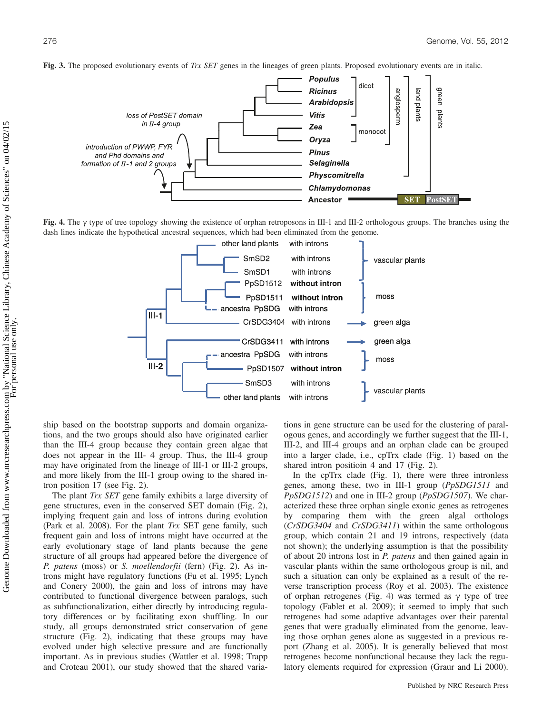

Fig. 3. The proposed evolutionary events of  $Tx$  SET genes in the lineages of green plants. Proposed evolutionary events are in italic.

Fig. 4. The  $\gamma$  type of tree topology showing the existence of orphan retroposons in III-1 and III-2 orthologous groups. The branches using the dash lines indicate the hypothetical ancestral sequences, which had been eliminated from the genome.



ship based on the bootstrap supports and domain organizations, and the two groups should also have originated earlier than the III-4 group because they contain green algae that does not appear in the III- 4 group. Thus, the III-4 group may have originated from the lineage of III-1 or III-2 groups, and more likely from the III-1 group owing to the shared intron position 17 (see Fig. 2).

The plant Trx SET gene family exhibits a large diversity of gene structures, even in the conserved SET domain (Fig. 2), implying frequent gain and loss of introns during evolution (Park et al. 2008). For the plant Trx SET gene family, such frequent gain and loss of introns might have occurred at the early evolutionary stage of land plants because the gene structure of all groups had appeared before the divergence of P. patens (moss) or S. moellendorfii (fern) (Fig. 2). As introns might have regulatory functions (Fu et al. 1995; Lynch and Conery 2000), the gain and loss of introns may have contributed to functional divergence between paralogs, such as subfunctionalization, either directly by introducing regulatory differences or by facilitating exon shuffling. In our study, all groups demonstrated strict conservation of gene structure (Fig. 2), indicating that these groups may have evolved under high selective pressure and are functionally important. As in previous studies (Wattler et al. 1998; Trapp and Croteau 2001), our study showed that the shared variations in gene structure can be used for the clustering of paralogous genes, and accordingly we further suggest that the III-1, III-2, and III-4 groups and an orphan clade can be grouped into a larger clade, i.e., cpTrx clade (Fig. 1) based on the shared intron positioin 4 and 17 (Fig. 2).

In the cpTrx clade (Fig. 1), there were three intronless genes, among these, two in III-1 group (PpSDG1511 and PpSDG1512) and one in III-2 group (PpSDG1507). We characterized these three orphan single exonic genes as retrogenes by comparing them with the green algal orthologs (CrSDG3404 and CrSDG3411) within the same orthologous group, which contain 21 and 19 introns, respectively (data not shown); the underlying assumption is that the possibility of about 20 introns lost in P. patens and then gained again in vascular plants within the same orthologous group is nil, and such a situation can only be explained as a result of the reverse transcription process (Roy et al. 2003). The existence of orphan retrogenes (Fig. 4) was termed as  $\gamma$  type of tree topology (Fablet et al. 2009); it seemed to imply that such retrogenes had some adaptive advantages over their parental genes that were gradually eliminated from the genome, leaving those orphan genes alone as suggested in a previous report (Zhang et al. 2005). It is generally believed that most retrogenes become nonfunctional because they lack the regulatory elements required for expression (Graur and Li 2000).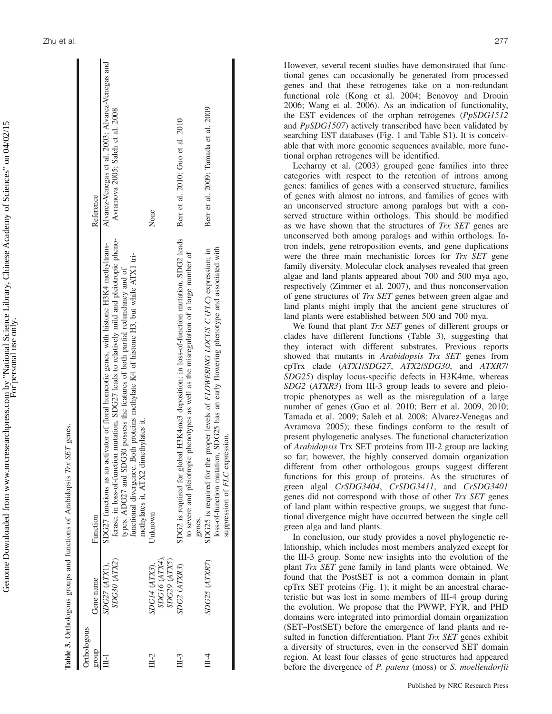|             |                                                | SET genes.<br>Table 3. Orthologous groups and functions of Arabidopsis Trx                                                                                                                                       |                                                                                      |
|-------------|------------------------------------------------|------------------------------------------------------------------------------------------------------------------------------------------------------------------------------------------------------------------|--------------------------------------------------------------------------------------|
| Orthologous |                                                |                                                                                                                                                                                                                  |                                                                                      |
| dno.ra      | Gene name                                      | Function                                                                                                                                                                                                         | Reference                                                                            |
| $\Xi$       | SDG30 (ATX2)<br>SDG27 (ATX1).                  | ferase; in loss-of-function mutation, SDG27 leads to relatively mild and pleiotropic pheno-<br>SDG27 functions as an activator of floral homeotic genes, with histone H3K4 methyltrans-                          | Alvarez-Venegas et al. 2003; Alvarez-Venegas and<br>Avramova 2005; Saleh et al. 2008 |
|             |                                                | Both proteins methylate K4 of histone H3, but while ATX1 tri-<br>types. ADG27 and SDG30 possess the features of both partial redundancy and of<br>methylates it, ATX2 dimethylates it.<br>functional divergence. |                                                                                      |
| $\Gamma$ -7 | SDG16 (ATX4),<br>SDG29 (ATX5)<br>SDG14 (ATX3), | Unknown                                                                                                                                                                                                          | None                                                                                 |
| $II-3$      | SDG2 (ATXR3)                                   | SDG2 is required for global H3K4me3 deposition; in loss-of-function mutation, SDG2 leads<br>to severe and pleiotropic phenotypes as well as the misregulation of a large number of<br>genes.                     | Berr et al. 2010; Guo et al. 2010                                                    |
| $L-4$       | SDG25 (ATXR7)                                  | loss-of-function mutation, SDG25 has an early flowering phenotype and associated with<br>SDG25 is required for the proper levels of FLOWERING LOCUS C (FLC) expression; in<br>suppression of FLC expression.     | Berr et al. 2009; Tamada et al. 2009                                                 |
|             |                                                |                                                                                                                                                                                                                  |                                                                                      |

However, several recent studies have demonstrated that functional genes can occasionally be generated from processed genes and that these retrogenes take on a non-redundant functional role (Kong et al. 2004; Benovoy and Drouin 2006; Wang et al. 2006). As an indication of functionality, the EST evidences of the orphan retrogenes (PpSDG1512 and PpSDG1507) actively transcribed have been validated by searching EST databases (Fig. 1 and Table S1). It is conceivable that with more genomic sequences available, more functional orphan retrogenes will be identified.

Lecharny et al. (2003) grouped gene families into three categories with respect to the retention of introns among genes: families of genes with a conserved structure, families of genes with almost no introns, and families of genes with an unconserved structure among paralogs but with a conserved structure within orthologs. This should be modified as we have shown that the structures of Trx SET genes are unconserved both among paralogs and within orthologs. Intron indels, gene retroposition events, and gene duplications were the three main mechanistic forces for Trx SET gene family diversity. Molecular clock analyses revealed that green algae and land plants appeared about 700 and 500 mya ago, respectively (Zimmer et al. 2007), and thus nonconservation of gene structures of Trx SET genes between green algae and land plants might imply that the ancient gene structures of land plants were established between 500 and 700 mya.

We found that plant Trx SET genes of different groups or clades have different functions (Table 3), suggesting that they interact with different substrates. Previous reports showed that mutants in Arabidopsis Trx SET genes from cpTrx clade (ATX1/SDG27, ATX2/SDG30, and ATXR7/ SDG25) display locus-specific defects in H3K4me, whereas SDG2 (ATXR3) from III-3 group leads to severe and pleiotropic phenotypes as well as the misregulation of a large number of genes (Guo et al. 2010; Berr et al. 2009, 2010; Tamada et al. 2009; Saleh et al. 2008; Alvarez-Venegas and Avramova 2005); these findings conform to the result of present phylogenetic analyses. The functional characterization of Arabidopsis Trx SET proteins from III-2 group are lacking so far; however, the highly conserved domain organization different from other orthologous groups suggest different functions for this group of proteins. As the structures of green algal CrSDG3404, CrSDG3411, and CrSDG3401 genes did not correspond with those of other Trx SET genes of land plant within respective groups, we suggest that functional divergence might have occurred between the single cell green alga and land plants.

In conclusion, our study provides a novel phylogenetic relationship, which includes most members analyzed except for the III-3 group. Some new insights into the evolution of the plant Trx SET gene family in land plants were obtained. We found that the PostSET is not a common domain in plant cpTrx SET proteins (Fig. 1); it might be an ancestral characteristic but was lost in some members of III-4 group during the evolution. We propose that the PWWP, FYR, and PHD domains were integrated into primordial domain organization (SET –PostSET) before the emergence of land plants and resulted in function differentiation. Plant Trx SET genes exhibit a diversity of structures, even in the conserved SET domain region. At least four classes of gene structures had appeared before the divergence of *P. patens* (moss) or *S. moellendorfii* 

Genome Downloaded from www.nrcresearchpress.com by "National Science Library, Chinese Academy of Sciences" on 04/02/15 Genome Downloaded from www.nrcresearchpress.com by "National Science Library, Chinese Academy of Sciences" on 04/02/15 For personal use only.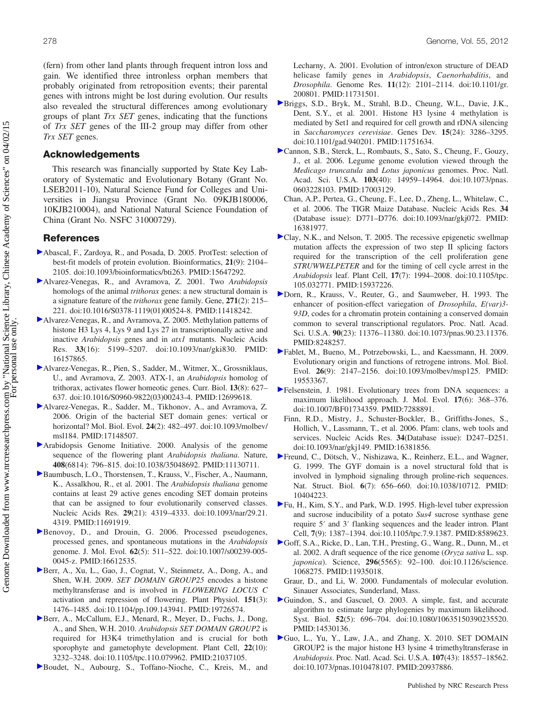(fern) from other land plants through frequent intron loss and gain. We identified three intronless orphan members that probably originated from retroposition events; their parental genes with introns might be lost during evolution. Our results also revealed the structural differences among evolutionary groups of plant Trx SET genes, indicating that the functions of Trx SET genes of the III-2 group may differ from other Trx SET genes.

# Acknowledgements

This research was financially supported by State Key Laboratory of Systematic and Evolutionary Botany (Grant No. LSEB2011-10), Natural Science Fund for Colleges and Universities in Jiangsu Province (Grant No. 09KJB180006, 10KJB210004), and National Natural Science Foundation of China (Grant No. NSFC 31000729).

#### **References**

- Abascal, F., Zardoya, R., and Posada, D. 2005. ProtTest: selection of best-fit models of protein evolution. Bioinformatics, 21(9): 2104– 2105. doi:10.1093/bioinformatics/bti263. PMID:15647292.
- Alvarez-Venegas, R., and Avramova, Z. 2001. Two Arabidopsis homologs of the animal *trithorax* genes: a new structural domain is a signature feature of the trithorax gene family. Gene, 271(2): 215– 221. doi:10.1016/S0378-1119(01)00524-8. PMID:11418242.
- Alvarez-Venegas, R., and Avramova, Z. 2005. Methylation patterns of histone H3 Lys 4, Lys 9 and Lys 27 in transcriptionally active and inactive Arabidopsis genes and in atxl mutants. Nucleic Acids Res. 33(16): 5199–5207. doi:10.1093/nar/gki830. PMID: 16157865.
- Alvarez-Venegas, R., Pien, S., Sadder, M., Witmer, X., Grossniklaus, U., and Avramova, Z. 2003. ATX-1, an Arabidopsis homolog of trithorax, activates flower homeotic genes. Curr. Biol. 13(8): 627– 637. doi:10.1016/S0960-9822(03)00243-4. PMID:12699618.
- Alvarez-Venegas, R., Sadder, M., Tikhonov, A., and Avramova, Z. 2006. Origin of the bacterial SET domain genes: vertical or horizontal? Mol. Biol. Evol. 24(2): 482–497. doi:10.1093/molbev/ msl184. PMID:17148507.
- Arabidopsis Genome Initiative. 2000. Analysis of the genome sequence of the flowering plant Arabidopsis thaliana. Nature, 408(6814): 796–815. doi:10.1038/35048692. PMID:11130711.
- Baumbusch, L.O., Thorstensen, T., Krauss, V., Fischer, A., Naumann, K., Assalkhou, R., et al. 2001. The Arabidopsis thaliana genome contains at least 29 active genes encoding SET domain proteins that can be assigned to four evolutionarily conserved classes. Nucleic Acids Res. 29(21): 4319–4333. doi:10.1093/nar/29.21. 4319. PMID:11691919.
- Benovoy, D., and Drouin, G. 2006. Processed pseudogenes, processed genes, and spontaneous mutations in the Arabidopsis genome. J. Mol. Evol. 62(5): 511–522. doi:10.1007/s00239-005- 0045-z. PMID:16612535.
- Berr, A., Xu, L., Gao, J., Cognat, V., Steinmetz, A., Dong, A., and Shen, W.H. 2009. SET DOMAIN GROUP25 encodes a histone methyltransferase and is involved in FLOWERING LOCUS C activation and repression of flowering. Plant Physiol. 151(3): 1476–1485. doi:10.1104/pp.109.143941. PMID:19726574.
- Berr, A., McCallum, E.J., Menard, R., Meyer, D., Fuchs, J., Dong, A., and Shen, W.H. 2010. Arabidopsis SET DOMAIN GROUP2 is required for H3K4 trimethylation and is crucial for both sporophyte and gametophyte development. Plant Cell, 22(10): 3232–3248. doi:10.1105/tpc.110.079962. PMID:21037105.
- Boudet, N., Aubourg, S., Toffano-Nioche, C., Kreis, M., and

Lecharny, A. 2001. Evolution of intron/exon structure of DEAD helicase family genes in Arabidopsis, Caenorhabditis, and Drosophila. Genome Res. 11(12): 2101–2114. doi:10.1101/gr. 200801. PMID:11731501.

- [B](http://www.nrcresearchpress.com/action/showLinks?pmid=11751634&crossref=10.1101%2Fgad.940201&isi=000172879200007)riggs, S.D., Bryk, M., Strahl, B.D., Cheung, W.L., Davie, J.K., Dent, S.Y., et al. 2001. Histone H3 lysine 4 methylation is mediated by Set1 and required for cell growth and rDNA silencing in Saccharomyces cerevisiae. Genes Dev. 15(24): 3286–3295. doi:10.1101/gad.940201. PMID:11751634.
- [C](http://www.nrcresearchpress.com/action/showLinks?pmid=17003129&crossref=10.1073%2Fpnas.0603228103&isi=000241069300057)annon, S.B., Sterck, L., Rombauts, S., Sato, S., Cheung, F., Gouzy, J., et al. 2006. Legume genome evolution viewed through the Medicago truncatula and Lotus japonicus genomes. Proc. Natl. Acad. Sci. U.S.A. 103(40): 14959–14964. doi:10.1073/pnas. 0603228103. PMID:17003129.
- Chan, A.P., Pertea, G., Cheung, F., Lee, D., Zheng, L., Whitelaw, C., et al. 2006. The TIGR Maize Database. Nucleic Acids Res. 34 (Database issue): D771–D776. doi:10.1093/nar/gkj072. PMID: 16381977.
- [C](http://www.nrcresearchpress.com/action/showLinks?pmid=15937226&crossref=10.1105%2Ftpc.105.032771)lay, N.K., and Nelson, T. 2005. The recessive epigenetic swellmap mutation affects the expression of two step II splicing factors required for the transcription of the cell proliferation gene STRUWWELPETER and for the timing of cell cycle arrest in the Arabidopsis leaf. Plant Cell, 17(7): 1994–2008. doi:10.1105/tpc. 105.032771. PMID:15937226.
- [D](http://www.nrcresearchpress.com/action/showLinks?pmid=8248257&crossref=10.1073%2Fpnas.90.23.11376)orn, R., Krauss, V., Reuter, G., and Saumweber, H. 1993. The enhancer of position-effect variegation of Drosophila, E(var)3-93D, codes for a chromatin protein containing a conserved domain common to several transcriptional regulators. Proc. Natl. Acad. Sci. U.S.A. 90(23): 11376–11380. doi:10.1073/pnas.90.23.11376. PMID:8248257.
- [F](http://www.nrcresearchpress.com/action/showLinks?pmid=19553367&crossref=10.1093%2Fmolbev%2Fmsp125)ablet, M., Bueno, M., Potrzebowski, L., and Kaessmann, H. 2009. Evolutionary origin and functions of retrogene introns. Mol. Biol. Evol. 26(9): 2147–2156. doi:10.1093/molbev/msp125. PMID: 19553367.
- [F](http://www.nrcresearchpress.com/action/showLinks?pmid=7288891&crossref=10.1007%2FBF01734359&isi=A1981MG91100007)elsenstein, J. 1981. Evolutionary trees from DNA sequences: a maximum likelihood approach. J. Mol. Evol. 17(6): 368–376. doi:10.1007/BF01734359. PMID:7288891.
- Finn, R.D., Mistry, J., Schuster-Bockler, B., Griffiths-Jones, S., Hollich, V., Lassmann, T., et al. 2006. Pfam: clans, web tools and services. Nucleic Acids Res. 34(Database issue): D247–D251. doi:10.1093/nar/gkj149. PMID:16381856.
- [F](http://www.nrcresearchpress.com/action/showLinks?pmid=10404223&crossref=10.1038%2F10712)reund, C., Dötsch, V., Nishizawa, K., Reinherz, E.L., and Wagner, G. 1999. The GYF domain is a novel structural fold that is involved in lymphoid signaling through proline-rich sequences. Nat. Struct. Biol. 6(7): 656–660. doi:10.1038/10712. PMID: 10404223.
- [F](http://www.nrcresearchpress.com/action/showLinks?pmid=8589623&crossref=10.1105%2Ftpc.7.9.1387)u, H., Kim, S.Y., and Park, W.D. 1995. High-level tuber expression and sucrose inducibility of a potato Sus4 sucrose synthase gene require 5′ and 3′ flanking sequences and the leader intron. Plant Cell, 7(9): 1387–1394. doi:10.1105/tpc.7.9.1387. PMID:8589623.
- [G](http://www.nrcresearchpress.com/action/showLinks?pmid=11935018&crossref=10.1126%2Fscience.1068275)off, S.A., Ricke, D., Lan, T.H., Presting, G., Wang, R., Dunn, M., et al. 2002. A draft sequence of the rice genome (Oryza sativa L. ssp. japonica). Science, 296(5565): 92-100. doi:10.1126/science. 1068275. PMID:11935018.
- Graur, D., and Li, W. 2000. Fundamentals of molecular evolution. Sinauer Associates, Sunderland, Mass.
- [G](http://www.nrcresearchpress.com/action/showLinks?pmid=14530136&crossref=10.1080%2F10635150390235520&isi=000185732500010)uindon, S., and Gascuel, O. 2003. A simple, fast, and accurate algorithm to estimate large phylogenies by maximum likelihood. Syst. Biol. 52(5): 696–704. doi:10.1080/10635150390235520. PMID:14530136.
- [G](http://www.nrcresearchpress.com/action/showLinks?pmid=20937886&crossref=10.1073%2Fpnas.1010478107)uo, L., Yu, Y., Law, J.A., and Zhang, X. 2010. SET DOMAIN GROUP2 is the major histone H3 lysine 4 trimethyltransferase in Arabidopsis. Proc. Natl. Acad. Sci. U.S.A. 107(43): 18557–18562. doi:10.1073/pnas.1010478107. PMID:20937886.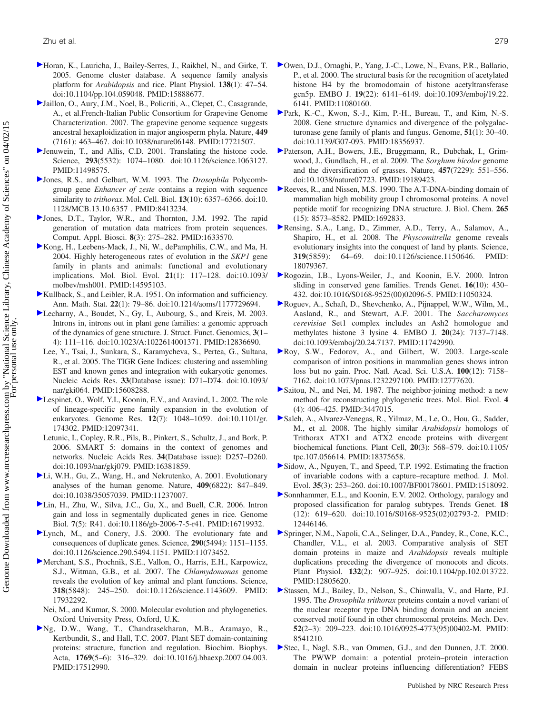- Horan, K., Lauricha, J., Bailey-Serres, J., Raikhel, N., and Girke, T. 2005. Genome cluster database. A sequence family analysis platform for Arabidopsis and rice. Plant Physiol. 138(1): 47–54. doi:10.1104/pp.104.059048. PMID:15888677.
- Jaillon, O., Aury, J.M., Noel, B., Policriti, A., Clepet, C., Casagrande, A., et al.French-Italian Public Consortium for Grapevine Genome Characterization. 2007. The grapevine genome sequence suggests ancestral hexaploidization in major angiosperm phyla. Nature, 449 (7161): 463–467. doi:10.1038/nature06148. PMID:17721507.
- Jenuwein, T., and Allis, C.D. 2001. Translating the histone code. Science, 293(5532): 1074–1080. doi:10.1126/science.1063127. PMID:11498575.
- Jones, R.S., and Gelbart, W.M. 1993. The Drosophila Polycombgroup gene *Enhancer of zeste* contains a region with sequence similarity to *trithorax*. Mol. Cell. Biol. **13**(10): 6357–6366. doi:10. 1128/MCB.13.10.6357 . PMID:8413234.
- Jones, D.T., Taylor, W.R., and Thornton, J.M. 1992. The rapid generation of mutation data matrices from protein sequences. Comput. Appl. Biosci. 8(3): 275–282. PMID:1633570.
- Kong, H., Leebens-Mack, J., Ni, W., dePamphilis, C.W., and Ma, H. 2004. Highly heterogeneous rates of evolution in the SKP1 gene family in plants and animals: functional and evolutionary implications. Mol. Biol. Evol. 21(1): 117–128. doi:10.1093/ molbev/msh001. PMID:14595103.
- Kullback, S., and Leibler, R.A. 1951. On information and sufficiency. Ann. Math. Stat. 22(1): 79–86. doi:10.1214/aoms/1177729694.
- Lecharny, A., Boudet, N., Gy, I., Aubourg, S., and Kreis, M. 2003. Introns in, introns out in plant gene families: a genomic approach of the dynamics of gene structure. J. Struct. Funct. Genomics, 3(1– 4): 111–116. doi:10.1023/A:1022614001371. PMID:12836690.
- Lee, Y., Tsai, J., Sunkara, S., Karamycheva, S., Pertea, G., Sultana, R., et al. 2005. The TIGR Gene Indices: clustering and assembling EST and known genes and integration with eukaryotic genomes. Nucleic Acids Res. 33(Database issue): D71–D74. doi:10.1093/ nar/gki064. PMID:15608288.
- Lespinet, O., Wolf, Y.I., Koonin, E.V., and Aravind, L. 2002. The role of lineage-specific gene family expansion in the evolution of eukaryotes. Genome Res. 12(7): 1048–1059. doi:10.1101/gr. 174302. PMID:12097341.
- Letunic, I., Copley, R.R., Pils, B., Pinkert, S., Schultz, J., and Bork, P. 2006. SMART 5: domains in the context of genomes and networks. Nucleic Acids Res. 34(Database issue): D257–D260. doi:10.1093/nar/gkj079. PMID:16381859.
- Li, W.H., Gu, Z., Wang, H., and Nekrutenko, A. 2001. Evolutionary analyses of the human genome. Nature, 409(6822): 847–849. doi:10.1038/35057039. PMID:11237007.
- Lin, H., Zhu, W., Silva, J.C., Gu, X., and Buell, C.R. 2006. Intron gain and loss in segmentally duplicated genes in rice. Genome Biol. 7(5): R41. doi:10.1186/gb-2006-7-5-r41. PMID:16719932.
- Lynch, M., and Conery, J.S. 2000. The evolutionary fate and consequences of duplicate genes. Science, 290(5494): 1151–1155. doi:10.1126/science.290.5494.1151. PMID:11073452.
- Merchant, S.S., Prochnik, S.E., Vallon, O., Harris, E.H., Karpowicz, S.J., Witman, G.B., et al. 2007. The Chlamydomonas genome reveals the evolution of key animal and plant functions. Science, 318(5848): 245–250. doi:10.1126/science.1143609. PMID: 17932292.
- Nei, M., and Kumar, S. 2000. Molecular evolution and phylogenetics. Oxford University Press, Oxford, U.K.
- Ng, D.W., Wang, T., Chandrasekharan, M.B., Aramayo, R., Kertbundit, S., and Hall, T.C. 2007. Plant SET domain-containing proteins: structure, function and regulation. Biochim. Biophys. Acta, 1769(5–6): 316–329. doi:10.1016/j.bbaexp.2007.04.003. PMID:17512990.
- [O](http://www.nrcresearchpress.com/action/showLinks?pmid=11080160&crossref=10.1093%2Femboj%2F19.22.6141)wen, D.J., Ornaghi, P., Yang, J.-C., Lowe, N., Evans, P.R., Ballario, P., et al. 2000. The structural basis for the recognition of acetylated histone H4 by the bromodomain of histone acetyltransferase gcn5p. EMBO J. 19(22): 6141–6149. doi:10.1093/emboj/19.22. 6141. PMID:11080160.
- [P](http://www.nrcresearchpress.com/action/showLinks?system=10.1139%2FG07-093&pmid=18356937)ark, K.-C., Kwon, S.-J., Kim, P.-H., Bureau, T., and Kim, N.-S. 2008. Gene structure dynamics and divergence of the polygalacturonase gene family of plants and fungus. Genome, 51(1): 30–40. doi:10.1139/G07-093. PMID:18356937.
- [P](http://www.nrcresearchpress.com/action/showLinks?pmid=19189423&crossref=10.1038%2Fnature07723&isi=000262852200034)aterson, A.H., Bowers, J.E., Bruggmann, R., Dubchak, I., Grimwood, J., Gundlach, H., et al. 2009. The Sorghum bicolor genome and the diversification of grasses. Nature, 457(7229): 551–556. doi:10.1038/nature07723. PMID:19189423.
- [R](http://www.nrcresearchpress.com/action/showLinks?pmid=1692833)eeves, R., and Nissen, M.S. 1990. The A.T-DNA-binding domain of mammalian high mobility group I chromosomal proteins. A novel peptide motif for recognizing DNA structure. J. Biol. Chem. 265 (15): 8573–8582. PMID:1692833.
- [R](http://www.nrcresearchpress.com/action/showLinks?pmid=18079367&crossref=10.1126%2Fscience.1150646&isi=000252084000030)ensing, S.A., Lang, D., Zimmer, A.D., Terry, A., Salamov, A., Shapiro, H., et al. 2008. The Physcomitrella genome reveals evolutionary insights into the conquest of land by plants. Science, 319(5859): 64–69. doi:10.1126/science.1150646. PMID: 18079367.
- [R](http://www.nrcresearchpress.com/action/showLinks?pmid=11050324&crossref=10.1016%2FS0168-9525%2800%2902096-5)ogozin, I.B., Lyons-Weiler, J., and Koonin, E.V. 2000. Intron sliding in conserved gene families. Trends Genet. 16(10): 430– 432. doi:10.1016/S0168-9525(00)02096-5. PMID:11050324.
- [R](http://www.nrcresearchpress.com/action/showLinks?pmid=11742990&crossref=10.1093%2Femboj%2F20.24.7137)oguev, A., Schaft, D., Shevchenko, A., Pijnappel, W.W., Wilm, M., Aasland, R., and Stewart, A.F. 2001. The Saccharomyces cerevisiae Set1 complex includes an Ash2 homologue and methylates histone 3 lysine 4. EMBO J. 20(24): 7137–7148. doi:10.1093/emboj/20.24.7137. PMID:11742990.
- [R](http://www.nrcresearchpress.com/action/showLinks?pmid=12777620&crossref=10.1073%2Fpnas.1232297100)oy, S.W., Fedorov, A., and Gilbert, W. 2003. Large-scale comparison of intron positions in mammalian genes shows intron loss but no gain. Proc. Natl. Acad. Sci. U.S.A. 100(12): 7158– 7162. doi:10.1073/pnas.1232297100. PMID:12777620.
- [S](http://www.nrcresearchpress.com/action/showLinks?pmid=3447015&isi=A1987J406700007)aitou, N., and Nei, M. 1987. The neighbor-joining method: a new method for reconstructing phylogenetic trees. Mol. Biol. Evol. 4 (4): 406–425. PMID:3447015.
- [S](http://www.nrcresearchpress.com/action/showLinks?pmid=18375658&crossref=10.1105%2Ftpc.107.056614)aleh, A., Alvarez-Venegas, R., Yilmaz, M., Le, O., Hou, G., Sadder, M., et al. 2008. The highly similar Arabidopsis homologs of Trithorax ATX1 and ATX2 encode proteins with divergent biochemical functions. Plant Cell, 20(3): 568–579. doi:10.1105/ tpc.107.056614. PMID:18375658.
- [S](http://www.nrcresearchpress.com/action/showLinks?pmid=1518092&crossref=10.1007%2FBF00178601)idow, A., Nguyen, T., and Speed, T.P. 1992. Estimating the fraction of invariable codons with a capture–recapture method. J. Mol. Evol. 35(3): 253–260. doi:10.1007/BF00178601. PMID:1518092.
- [S](http://www.nrcresearchpress.com/action/showLinks?pmid=12446146&crossref=10.1016%2FS0168-9525%2802%2902793-2)onnhammer, E.L., and Koonin, E.V. 2002. Orthology, paralogy and proposed classification for paralog subtypes. Trends Genet. 18 (12): 619–620. doi:10.1016/S0168-9525(02)02793-2. PMID: 12446146.
- [S](http://www.nrcresearchpress.com/action/showLinks?pmid=12805620&crossref=10.1104%2Fpp.102.013722)pringer, N.M., Napoli, C.A., Selinger, D.A., Pandey, R., Cone, K.C., Chandler, V.L., et al. 2003. Comparative analysis of SET domain proteins in maize and Arabidopsis reveals multiple duplications preceding the divergence of monocots and dicots. Plant Physiol. 132(2): 907–925. doi:10.1104/pp.102.013722. PMID:12805620.
- [S](http://www.nrcresearchpress.com/action/showLinks?pmid=8541210&crossref=10.1016%2F0925-4773%2895%2900402-M)tassen, M.J., Bailey, D., Nelson, S., Chinwalla, V., and Harte, P.J. 1995. The Drosophila trithorax proteins contain a novel variant of the nuclear receptor type DNA binding domain and an ancient conserved motif found in other chromosomal proteins. Mech. Dev. 52(2–3): 209–223. doi:10.1016/0925-4773(95)00402-M. PMID: 8541210.
- [S](http://www.nrcresearchpress.com/action/showLinks?pmid=10802047&crossref=10.1016%2FS0014-5793%2800%2901449-6)tec, I., Nagl, S.B., van Ommen, G.J., and den Dunnen, J.T. 2000. The PWWP domain: a potential protein–protein interaction domain in nuclear proteins influencing differentiation? FEBS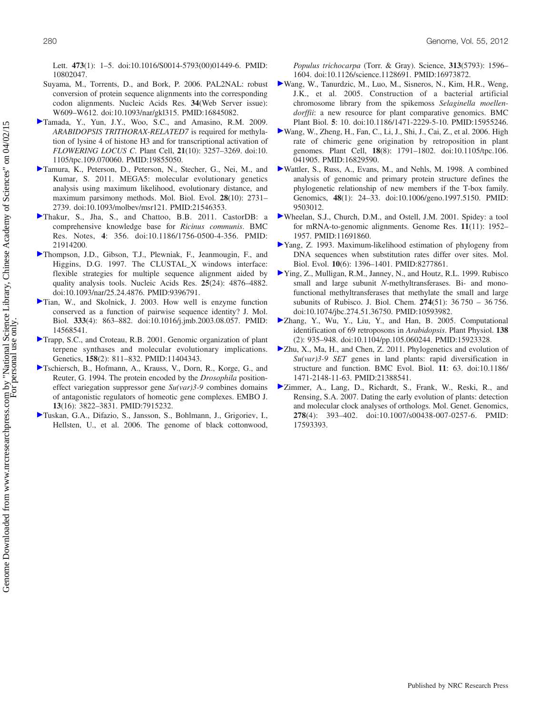Genome Downloaded from www.nrcresearchpress.com by "National Science Library, Chinese Academy of Sciences" on 04/02/15 Genome Downloaded from www.nrcresearchpress.com by "National Science Library, Chinese Academy of Sciences" on 04/02/15 For personal use only. Lett. 473(1): 1-5. doi:10.1016/S0014-5793(00)01449-6. PMID: 10802047.

- Suyama, M., Torrents, D., and Bork, P. 2006. PAL2NAL: robust conversion of protein sequence alignments into the corresponding codon alignments. Nucleic Acids Res. 34(Web Server issue): W609–W612. doi:10.1093/nar/gkl315. PMID:16845082.
- Tamada, Y., Yun, J.Y., Woo, S.C., and Amasino, R.M. 2009. ARABIDOPSIS TRITHORAX-RELATED7 is required for methylation of lysine 4 of histone H3 and for transcriptional activation of FLOWERING LOCUS C. Plant Cell, 21(10): 3257–3269. doi:10. 1105/tpc.109.070060. PMID:19855050.
- Tamura, K., Peterson, D., Peterson, N., Stecher, G., Nei, M., and Kumar, S. 2011. MEGA5: molecular evolutionary genetics analysis using maximum likelihood, evolutionary distance, and maximum parsimony methods. Mol. Biol. Evol. 28(10): 2731– 2739. doi:10.1093/molbev/msr121. PMID:21546353.
- Thakur, S., Jha, S., and Chattoo, B.B. 2011. CastorDB: a comprehensive knowledge base for Ricinus communis. BMC Res. Notes, 4: 356. doi:10.1186/1756-0500-4-356. PMID: 21914200.
- Thompson, J.D., Gibson, T.J., Plewniak, F., Jeanmougin, F., and Higgins, D.G. 1997. The CLUSTAL\_X windows interface: flexible strategies for multiple sequence alignment aided by quality analysis tools. Nucleic Acids Res. 25(24): 4876–4882. doi:10.1093/nar/25.24.4876. PMID:9396791.
- Tian, W., and Skolnick, J. 2003. How well is enzyme function conserved as a function of pairwise sequence identity? J. Mol. Biol. 333(4): 863–882. doi:10.1016/j.jmb.2003.08.057. PMID: 14568541.
- Trapp, S.C., and Croteau, R.B. 2001. Genomic organization of plant terpene synthases and molecular evolutionary implications. Genetics, 158(2): 811–832. PMID:11404343.
- Tschiersch, B., Hofmann, A., Krauss, V., Dorn, R., Korge, G., and Reuter, G. 1994. The protein encoded by the Drosophila positioneffect variegation suppressor gene Su(var)3-9 combines domains of antagonistic regulators of homeotic gene complexes. EMBO J. 13(16): 3822–3831. PMID:7915232.
- Tuskan, G.A., Difazio, S., Jansson, S., Bohlmann, J., Grigoriev, I., Hellsten, U., et al. 2006. The genome of black cottonwood,

Populus trichocarpa (Torr. & Gray). Science, 313(5793): 1596– 1604. doi:10.1126/science.1128691. PMID:16973872.

- [W](http://www.nrcresearchpress.com/action/showLinks?pmid=15955246&crossref=10.1186%2F1471-2229-5-10)ang, W., Tanurdzic, M., Luo, M., Sisneros, N., Kim, H.R., Weng, J.K., et al. 2005. Construction of a bacterial artificial chromosome library from the spikemoss Selaginella moellendorffii: a new resource for plant comparative genomics. BMC Plant Biol. 5: 10. doi:10.1186/1471-2229-5-10. PMID:15955246.
- [W](http://www.nrcresearchpress.com/action/showLinks?pmid=16829590&crossref=10.1105%2Ftpc.106.041905)ang, W., Zheng, H., Fan, C., Li, J., Shi, J., Cai, Z., et al. 2006. High rate of chimeric gene origination by retroposition in plant genomes. Plant Cell, 18(8): 1791–1802. doi:10.1105/tpc.106. 041905. PMID:16829590.
- [W](http://www.nrcresearchpress.com/action/showLinks?pmid=9503012&crossref=10.1006%2Fgeno.1997.5150)attler, S., Russ, A., Evans, M., and Nehls, M. 1998. A combined analysis of genomic and primary protein structure defines the phylogenetic relationship of new members if the T-box family. Genomics, 48(1): 24–33. doi:10.1006/geno.1997.5150. PMID: 9503012.
- [W](http://www.nrcresearchpress.com/action/showLinks?pmid=11691860)heelan, S.J., Church, D.M., and Ostell, J.M. 2001. Spidey: a tool for mRNA-to-genomic alignments. Genome Res. 11(11): 1952– 1957. PMID:11691860.
- [Y](http://www.nrcresearchpress.com/action/showLinks?pmid=8277861)ang, Z. 1993. Maximum-likelihood estimation of phylogeny from DNA sequences when substitution rates differ over sites. Mol. Biol. Evol. 10(6): 1396–1401. PMID:8277861.
- [Y](http://www.nrcresearchpress.com/action/showLinks?crossref=10.1074%2Fjbc.274.51.36750)ing, Z., Mulligan, R.M., Janney, N., and Houtz, R.L. 1999. Rubisco small and large subunit N-methyltransferases. Bi- and monofunctional methyltransferases that methylate the small and large subunits of Rubisco. J. Biol. Chem. 274(51): 36 750 – 36 756. doi:10.1074/jbc.274.51.36750. PMID:10593982.
- [Z](http://www.nrcresearchpress.com/action/showLinks?pmid=15923328&crossref=10.1104%2Fpp.105.060244)hang, Y., Wu, Y., Liu, Y., and Han, B. 2005. Computational identification of 69 retroposons in Arabidopsis. Plant Physiol. 138 (2): 935–948. doi:10.1104/pp.105.060244. PMID:15923328.
- [Z](http://www.nrcresearchpress.com/action/showLinks?pmid=21388541&crossref=10.1186%2F1471-2148-11-63)hu, X., Ma, H., and Chen, Z. 2011. Phylogenetics and evolution of Su(var)3-9 SET genes in land plants: rapid diversification in structure and function. BMC Evol. Biol. 11: 63. doi:10.1186/ 1471-2148-11-63. PMID:21388541.
- [Z](http://www.nrcresearchpress.com/action/showLinks?pmid=17593393&crossref=10.1007%2Fs00438-007-0257-6)immer, A., Lang, D., Richardt, S., Frank, W., Reski, R., and Rensing, S.A. 2007. Dating the early evolution of plants: detection and molecular clock analyses of orthologs. Mol. Genet. Genomics, 278(4): 393–402. doi:10.1007/s00438-007-0257-6. PMID: 17593393.